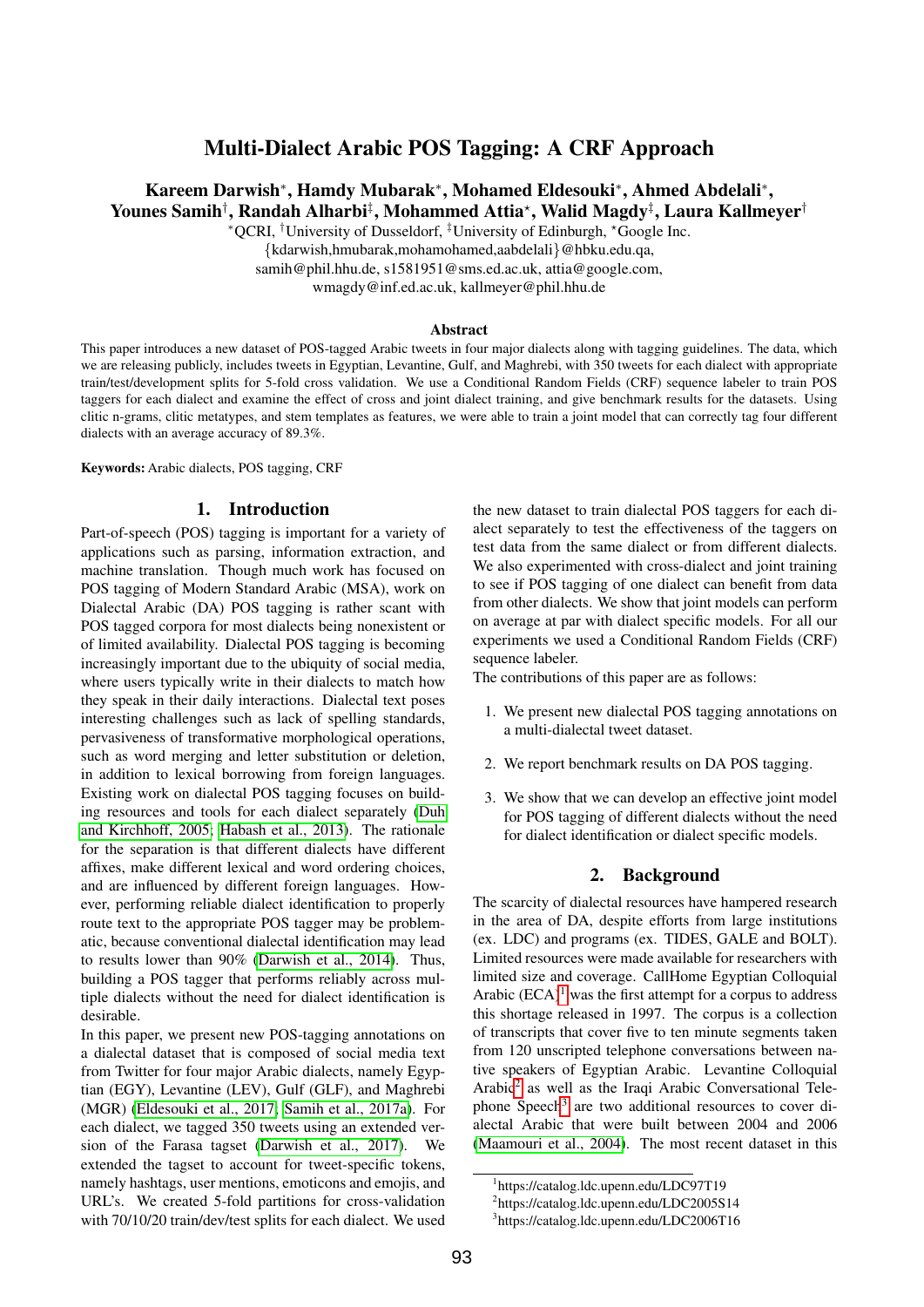# Multi-Dialect Arabic POS Tagging: A CRF Approach

# Kareem Darwish\*, Hamdy Mubarak\*, Mohamed Eldesouki\*, Ahmed Abdelali\*, Younes Samih† , Randah Alharbi‡ , Mohammed Attia? , Walid Magdy‡ , Laura Kallmeyer†

<sup>∗</sup>QCRI, †University of Dusseldorf, ‡University of Edinburgh, ?Google Inc.

{kdarwish,hmubarak,mohamohamed,aabdelali}@hbku.edu.qa,

samih@phil.hhu.de, s1581951@sms.ed.ac.uk, attia@google.com,

wmagdy@inf.ed.ac.uk, kallmeyer@phil.hhu.de

#### Abstract

This paper introduces a new dataset of POS-tagged Arabic tweets in four major dialects along with tagging guidelines. The data, which we are releasing publicly, includes tweets in Egyptian, Levantine, Gulf, and Maghrebi, with 350 tweets for each dialect with appropriate train/test/development splits for 5-fold cross validation. We use a Conditional Random Fields (CRF) sequence labeler to train POS taggers for each dialect and examine the effect of cross and joint dialect training, and give benchmark results for the datasets. Using clitic n-grams, clitic metatypes, and stem templates as features, we were able to train a joint model that can correctly tag four different dialects with an average accuracy of 89.3%.

Keywords: Arabic dialects, POS tagging, CRF

# 1. Introduction

Part-of-speech (POS) tagging is important for a variety of applications such as parsing, information extraction, and machine translation. Though much work has focused on POS tagging of Modern Standard Arabic (MSA), work on Dialectal Arabic (DA) POS tagging is rather scant with POS tagged corpora for most dialects being nonexistent or of limited availability. Dialectal POS tagging is becoming increasingly important due to the ubiquity of social media, where users typically write in their dialects to match how they speak in their daily interactions. Dialectal text poses interesting challenges such as lack of spelling standards, pervasiveness of transformative morphological operations, such as word merging and letter substitution or deletion, in addition to lexical borrowing from foreign languages. Existing work on dialectal POS tagging focuses on building resources and tools for each dialect separately [\(Duh](#page-5-0) [and Kirchhoff, 2005;](#page-5-0) [Habash et al., 2013\)](#page-5-1). The rationale for the separation is that different dialects have different affixes, make different lexical and word ordering choices, and are influenced by different foreign languages. However, performing reliable dialect identification to properly route text to the appropriate POS tagger may be problematic, because conventional dialectal identification may lead to results lower than 90% [\(Darwish et al., 2014\)](#page-4-0). Thus, building a POS tagger that performs reliably across multiple dialects without the need for dialect identification is desirable.

In this paper, we present new POS-tagging annotations on a dialectal dataset that is composed of social media text from Twitter for four major Arabic dialects, namely Egyptian (EGY), Levantine (LEV), Gulf (GLF), and Maghrebi (MGR) [\(Eldesouki et al., 2017;](#page-5-2) [Samih et al., 2017a\)](#page-5-3). For each dialect, we tagged 350 tweets using an extended version of the Farasa tagset [\(Darwish et al., 2017\)](#page-4-1). We extended the tagset to account for tweet-specific tokens, namely hashtags, user mentions, emoticons and emojis, and URL's. We created 5-fold partitions for cross-validation with 70/10/20 train/dev/test splits for each dialect. We used the new dataset to train dialectal POS taggers for each dialect separately to test the effectiveness of the taggers on test data from the same dialect or from different dialects. We also experimented with cross-dialect and joint training to see if POS tagging of one dialect can benefit from data from other dialects. We show that joint models can perform on average at par with dialect specific models. For all our experiments we used a Conditional Random Fields (CRF) sequence labeler.

The contributions of this paper are as follows:

- 1. We present new dialectal POS tagging annotations on a multi-dialectal tweet dataset.
- 2. We report benchmark results on DA POS tagging.
- 3. We show that we can develop an effective joint model for POS tagging of different dialects without the need for dialect identification or dialect specific models.

#### 2. Background

The scarcity of dialectal resources have hampered research in the area of DA, despite efforts from large institutions (ex. LDC) and programs (ex. TIDES, GALE and BOLT). Limited resources were made available for researchers with limited size and coverage. CallHome Egyptian Colloquial Arabic  $(ECA)^1$  $(ECA)^1$  was the first attempt for a corpus to address this shortage released in 1997. The corpus is a collection of transcripts that cover five to ten minute segments taken from 120 unscripted telephone conversations between native speakers of Egyptian Arabic. Levantine Colloquial Arabic<sup>[2](#page-0-1)</sup> as well as the Iraqi Arabic Conversational Tele-phone Speech<sup>[3](#page-0-2)</sup> are two additional resources to cover dialectal Arabic that were built between 2004 and 2006 [\(Maamouri et al., 2004\)](#page-5-4). The most recent dataset in this

<span id="page-0-0"></span><sup>1</sup> https://catalog.ldc.upenn.edu/LDC97T19

<span id="page-0-2"></span><span id="page-0-1"></span><sup>&</sup>lt;sup>2</sup>https://catalog.ldc.upenn.edu/LDC2005S14

<sup>3</sup> https://catalog.ldc.upenn.edu/LDC2006T16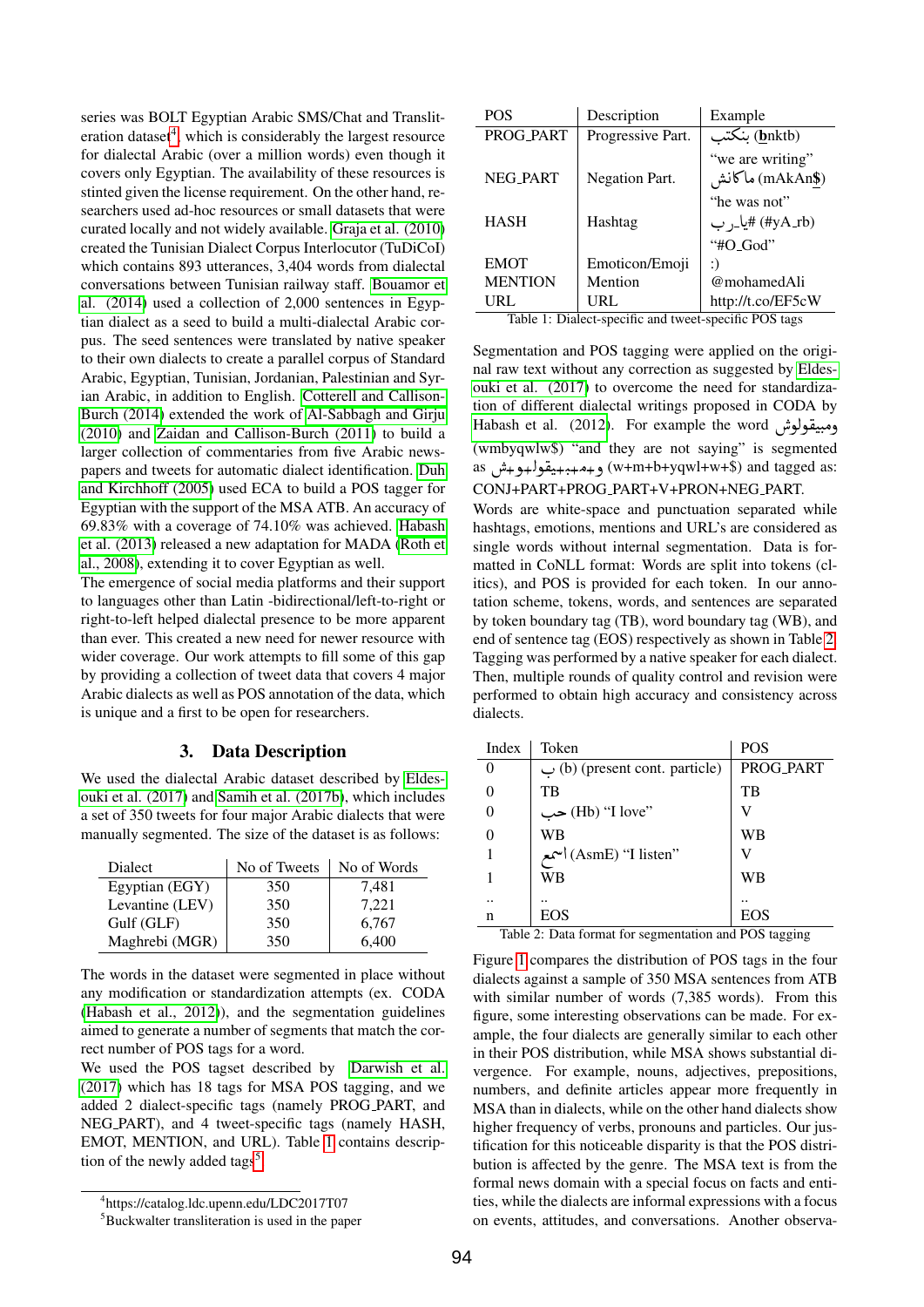series was BOLT Egyptian Arabic SMS/Chat and Translit-eration dataset<sup>[4](#page-1-0)</sup>, which is considerably the largest resource for dialectal Arabic (over a million words) even though it covers only Egyptian. The availability of these resources is stinted given the license requirement. On the other hand, researchers used ad-hoc resources or small datasets that were curated locally and not widely available. [Graja et al. \(2010\)](#page-5-5) created the Tunisian Dialect Corpus Interlocutor (TuDiCoI) which contains 893 utterances, 3,404 words from dialectal conversations between Tunisian railway staff. [Bouamor et](#page-4-2) [al. \(2014\)](#page-4-2) used a collection of 2,000 sentences in Egyptian dialect as a seed to build a multi-dialectal Arabic corpus. The seed sentences were translated by native speaker to their own dialects to create a parallel corpus of Standard Arabic, Egyptian, Tunisian, Jordanian, Palestinian and Syrian Arabic, in addition to English. [Cotterell and Callison-](#page-4-3)[Burch \(2014\)](#page-4-3) extended the work of [Al-Sabbagh and Girju](#page-4-4) [\(2010\)](#page-4-4) and [Zaidan and Callison-Burch \(2011\)](#page-5-6) to build a larger collection of commentaries from five Arabic newspapers and tweets for automatic dialect identification. [Duh](#page-5-0) [and Kirchhoff \(2005\)](#page-5-0) used ECA to build a POS tagger for Egyptian with the support of the MSA ATB. An accuracy of 69.83% with a coverage of 74.10% was achieved. [Habash](#page-5-1) [et al. \(2013\)](#page-5-1) released a new adaptation for MADA [\(Roth et](#page-5-7) [al., 2008\)](#page-5-7), extending it to cover Egyptian as well.

The emergence of social media platforms and their support to languages other than Latin -bidirectional/left-to-right or right-to-left helped dialectal presence to be more apparent than ever. This created a new need for newer resource with wider coverage. Our work attempts to fill some of this gap by providing a collection of tweet data that covers 4 major Arabic dialects as well as POS annotation of the data, which is unique and a first to be open for researchers.

#### 3. Data Description

We used the dialectal Arabic dataset described by [Eldes](#page-5-2)[ouki et al. \(2017\)](#page-5-2) and [Samih et al. \(2017b\)](#page-5-8), which includes a set of 350 tweets for four major Arabic dialects that were manually segmented. The size of the dataset is as follows:

| <b>Dialect</b>  | No of Tweets | No of Words |
|-----------------|--------------|-------------|
| Egyptian (EGY)  | 350          | 7.481       |
| Levantine (LEV) | 350          | 7,221       |
| Gulf (GLF)      | 350          | 6,767       |
| Maghrebi (MGR)  | 350          | 6.400       |

The words in the dataset were segmented in place without any modification or standardization attempts (ex. CODA [\(Habash et al., 2012\)](#page-5-9)), and the segmentation guidelines aimed to generate a number of segments that match the correct number of POS tags for a word.

We used the POS tagset described by [Darwish et al.](#page-4-1) [\(2017\)](#page-4-1) which has 18 tags for MSA POS tagging, and we added 2 dialect-specific tags (namely PROG PART, and NEG PART), and 4 tweet-specific tags (namely HASH, EMOT, MENTION, and URL). Table [1](#page-1-1) contains descrip-tion of the newly added tags<sup>[5](#page-1-2)</sup>.

<span id="page-1-1"></span>

| <b>POS</b>                                            | Description           | Example                                              |  |
|-------------------------------------------------------|-----------------------|------------------------------------------------------|--|
| PROG_PART                                             | Progressive Part.     | ( <u>b</u> nktb) بنكتب                               |  |
| NEG_PART<br><b>HASH</b>                               | <b>Negation Part.</b> | "we are writing"<br>(\$mAkAn) ماكانش<br>"he was not" |  |
|                                                       | Hashtag               | (#yA_rb) #يا_ <sub>ر</sub> ب                         |  |
|                                                       |                       | "#O God"                                             |  |
| <b>EMOT</b>                                           | Emoticon/Emoji        | $:$ )                                                |  |
| <b>MENTION</b>                                        | Mention               | @mohamedAli                                          |  |
| URL                                                   | URL                   | http://t.co/EF5cW                                    |  |
| Table 1. Dislast specific and tweet specific DOS togs |                       |                                                      |  |

Table 1: Dialect-specific and tweet-specific POS tags

Segmentation and POS tagging were applied on the original raw text without any correction as suggested by [Eldes](#page-5-2)[ouki et al. \(2017\)](#page-5-2) to overcome the need for standardization of different dialectal writings proposed in CODA by tion of different dialectal writings proposed in CODA by<br>ومبيقولوش Habash et al. (2012). For example the word  $\ddot{\phantom{0}}$ ֦֧֦֧֦֧֦֧֦֧֦֧֦֧֦֦֧֦֦֧֦֦֜֜֜֜֜֜֜֜֜֜֜֜ J . (wmbyqwlw\$) "and they are not saying" is segmented as +nd they are not saying" is segmented) (wmbyqwlw\$) "and they are not saying"<br>as + +++±Å(w+m+b+yqwl+w+\$) and tagged as:  $\frac{1}{2}$ ļ CONJ+PART+PROG PART+V+PRON+NEG PART.

Words are white-space and punctuation separated while hashtags, emotions, mentions and URL's are considered as single words without internal segmentation. Data is formatted in CoNLL format: Words are split into tokens (clitics), and POS is provided for each token. In our annotation scheme, tokens, words, and sentences are separated by token boundary tag (TB), word boundary tag (WB), and end of sentence tag (EOS) respectively as shown in Table [2.](#page-1-3) Tagging was performed by a native speaker for each dialect. Then, multiple rounds of quality control and revision were performed to obtain high accuracy and consistency across dialects.

<span id="page-1-3"></span>

| Index    | Token                               | <b>POS</b> |
|----------|-------------------------------------|------------|
| 0        | $\cup$ (b) (present cont. particle) | PROG_PART  |
|          | <b>TB</b>                           | TB         |
| $\Omega$ | "I love" (Hb) حب                    | V          |
| 0        | WB                                  | <b>WB</b>  |
|          | ''I listen'' (AsmE) اسمع            |            |
|          | WB                                  | <b>WB</b>  |
|          |                                     |            |
| n        | EOS                                 | EOS        |

Table 2: Data format for segmentation and POS tagging

Figure [1](#page-3-0) compares the distribution of POS tags in the four dialects against a sample of 350 MSA sentences from ATB with similar number of words (7,385 words). From this figure, some interesting observations can be made. For example, the four dialects are generally similar to each other in their POS distribution, while MSA shows substantial divergence. For example, nouns, adjectives, prepositions, numbers, and definite articles appear more frequently in MSA than in dialects, while on the other hand dialects show higher frequency of verbs, pronouns and particles. Our justification for this noticeable disparity is that the POS distribution is affected by the genre. The MSA text is from the formal news domain with a special focus on facts and entities, while the dialects are informal expressions with a focus on events, attitudes, and conversations. Another observa-

<span id="page-1-0"></span><sup>4</sup> https://catalog.ldc.upenn.edu/LDC2017T07

<span id="page-1-2"></span><sup>5</sup>Buckwalter transliteration is used in the paper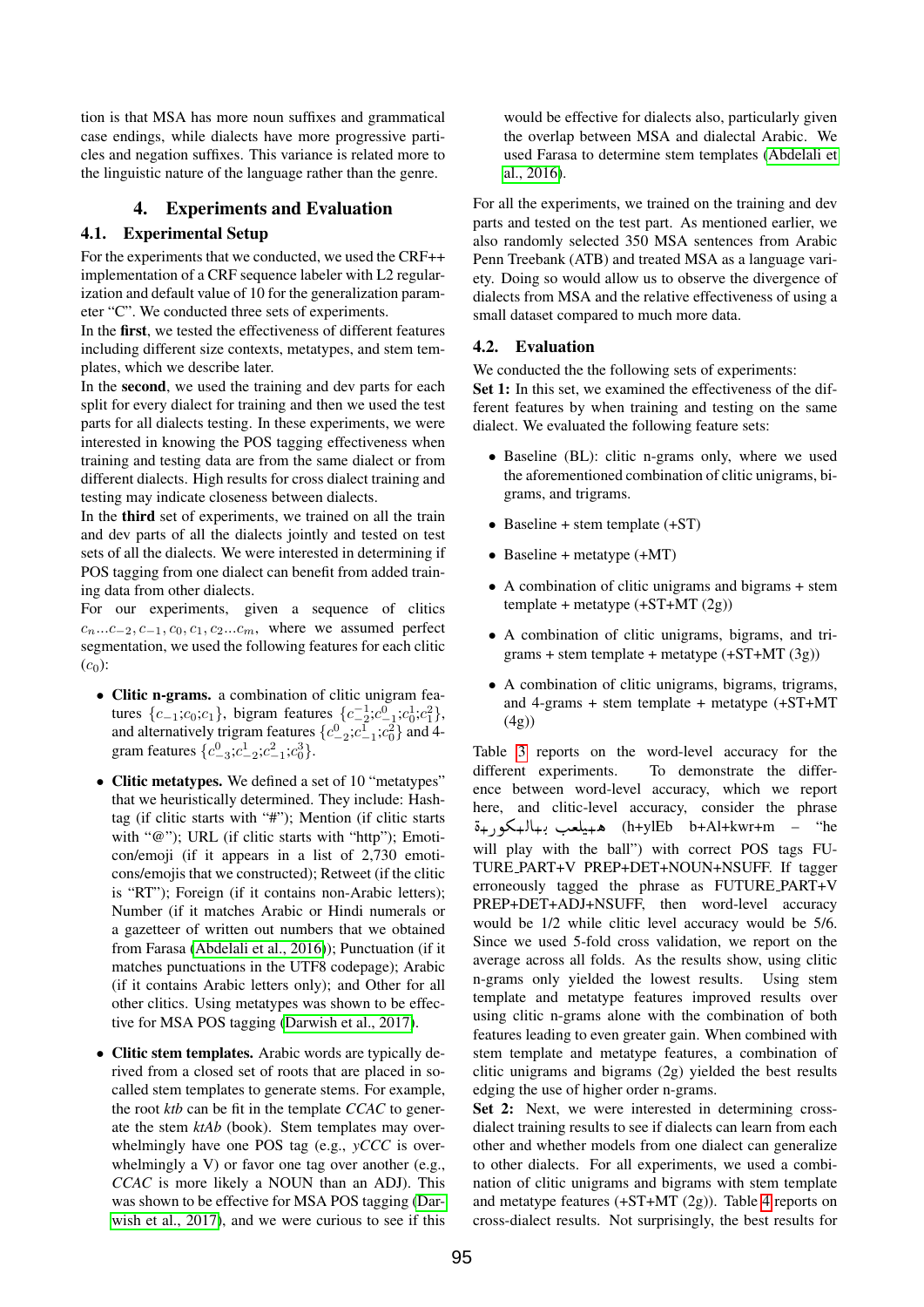tion is that MSA has more noun suffixes and grammatical case endings, while dialects have more progressive particles and negation suffixes. This variance is related more to the linguistic nature of the language rather than the genre.

# 4. Experiments and Evaluation

# 4.1. Experimental Setup

For the experiments that we conducted, we used the CRF++ implementation of a CRF sequence labeler with L2 regularization and default value of 10 for the generalization parameter "C". We conducted three sets of experiments.

In the first, we tested the effectiveness of different features including different size contexts, metatypes, and stem templates, which we describe later.

In the second, we used the training and dev parts for each split for every dialect for training and then we used the test parts for all dialects testing. In these experiments, we were interested in knowing the POS tagging effectiveness when training and testing data are from the same dialect or from different dialects. High results for cross dialect training and testing may indicate closeness between dialects.

In the third set of experiments, we trained on all the train and dev parts of all the dialects jointly and tested on test sets of all the dialects. We were interested in determining if POS tagging from one dialect can benefit from added training data from other dialects.

For our experiments, given a sequence of clitics  $c_n...c_{-2}, c_{-1}, c_0, c_1, c_2...c_m$ , where we assumed perfect segmentation, we used the following features for each clitic  $(c<sub>0</sub>)$ :

- Clitic n-grams. a combination of clitic unigram features  $\{c_{-1}, c_0; c_1\}$ , bigram features  $\{c_{-2}^{-1}; c_{-1}^{0}; c_0^{1}; c_1^{2}\}$ , and alternatively trigram features  $\{c_{-2}^0;c_{-1}^1;c_0^2\}$  and 4gram features  ${c_{-3}^0;c_{-2}^1;c_{-1}^2;c_{0}^3}$ .
- Clitic metatypes. We defined a set of 10 "metatypes" that we heuristically determined. They include: Hashtag (if clitic starts with "#"); Mention (if clitic starts with "@"); URL (if clitic starts with "http"); Emoticon/emoji (if it appears in a list of 2,730 emoticons/emojis that we constructed); Retweet (if the clitic is "RT"); Foreign (if it contains non-Arabic letters); Number (if it matches Arabic or Hindi numerals or a gazetteer of written out numbers that we obtained from Farasa [\(Abdelali et al., 2016\)](#page-4-5)); Punctuation (if it matches punctuations in the UTF8 codepage); Arabic (if it contains Arabic letters only); and Other for all other clitics. Using metatypes was shown to be effective for MSA POS tagging [\(Darwish et al., 2017\)](#page-4-1).
- Clitic stem templates. Arabic words are typically derived from a closed set of roots that are placed in socalled stem templates to generate stems. For example, the root *ktb* can be fit in the template *CCAC* to generate the stem *ktAb* (book). Stem templates may overwhelmingly have one POS tag (e.g., *yCCC* is overwhelmingly a V) or favor one tag over another (e.g., *CCAC* is more likely a NOUN than an ADJ). This was shown to be effective for MSA POS tagging [\(Dar](#page-4-1)[wish et al., 2017\)](#page-4-1), and we were curious to see if this

would be effective for dialects also, particularly given the overlap between MSA and dialectal Arabic. We used Farasa to determine stem templates [\(Abdelali et](#page-4-5) [al., 2016\)](#page-4-5).

For all the experiments, we trained on the training and dev parts and tested on the test part. As mentioned earlier, we also randomly selected 350 MSA sentences from Arabic Penn Treebank (ATB) and treated MSA as a language variety. Doing so would allow us to observe the divergence of dialects from MSA and the relative effectiveness of using a small dataset compared to much more data.

# 4.2. Evaluation

We conducted the the following sets of experiments:

Set 1: In this set, we examined the effectiveness of the different features by when training and testing on the same dialect. We evaluated the following feature sets:

- Baseline (BL): clitic n-grams only, where we used the aforementioned combination of clitic unigrams, bigrams, and trigrams.
- Baseline + stem template  $(+ST)$
- Baseline + metatype  $(+MT)$
- A combination of clitic unigrams and bigrams + stem template + metatype  $(+ST+MT(2g))$
- A combination of clitic unigrams, bigrams, and trigrams + stem template + metatype  $(+ST+MT(3g))$
- A combination of clitic unigrams, bigrams, trigrams, and 4-grams + stem template + metatype (+ST+MT (4g))

Table [3](#page-3-1) reports on the word-level accuracy for the different experiments. To demonstrate the difference between word-level accuracy, which we report here, and clitic-level accuracy, consider the phrase h<br>.. here, and entre-lever accuracy, consider the pinase.<br>• هېيلعب بېلابېكورېة (h+ylEb b+Al+kwr+m – "he ļ will play with the ball") with correct POS tags FU-TURE PART+V PREP+DET+NOUN+NSUFF. If tagger erroneously tagged the phrase as FUTURE PART+V PREP+DET+ADJ+NSUFF, then word-level accuracy would be 1/2 while clitic level accuracy would be 5/6. Since we used 5-fold cross validation, we report on the average across all folds. As the results show, using clitic n-grams only yielded the lowest results. Using stem template and metatype features improved results over using clitic n-grams alone with the combination of both features leading to even greater gain. When combined with stem template and metatype features, a combination of clitic unigrams and bigrams (2g) yielded the best results edging the use of higher order n-grams.

Set 2: Next, we were interested in determining crossdialect training results to see if dialects can learn from each other and whether models from one dialect can generalize to other dialects. For all experiments, we used a combination of clitic unigrams and bigrams with stem template and metatype features (+ST+MT (2g)). Table [4](#page-3-2) reports on cross-dialect results. Not surprisingly, the best results for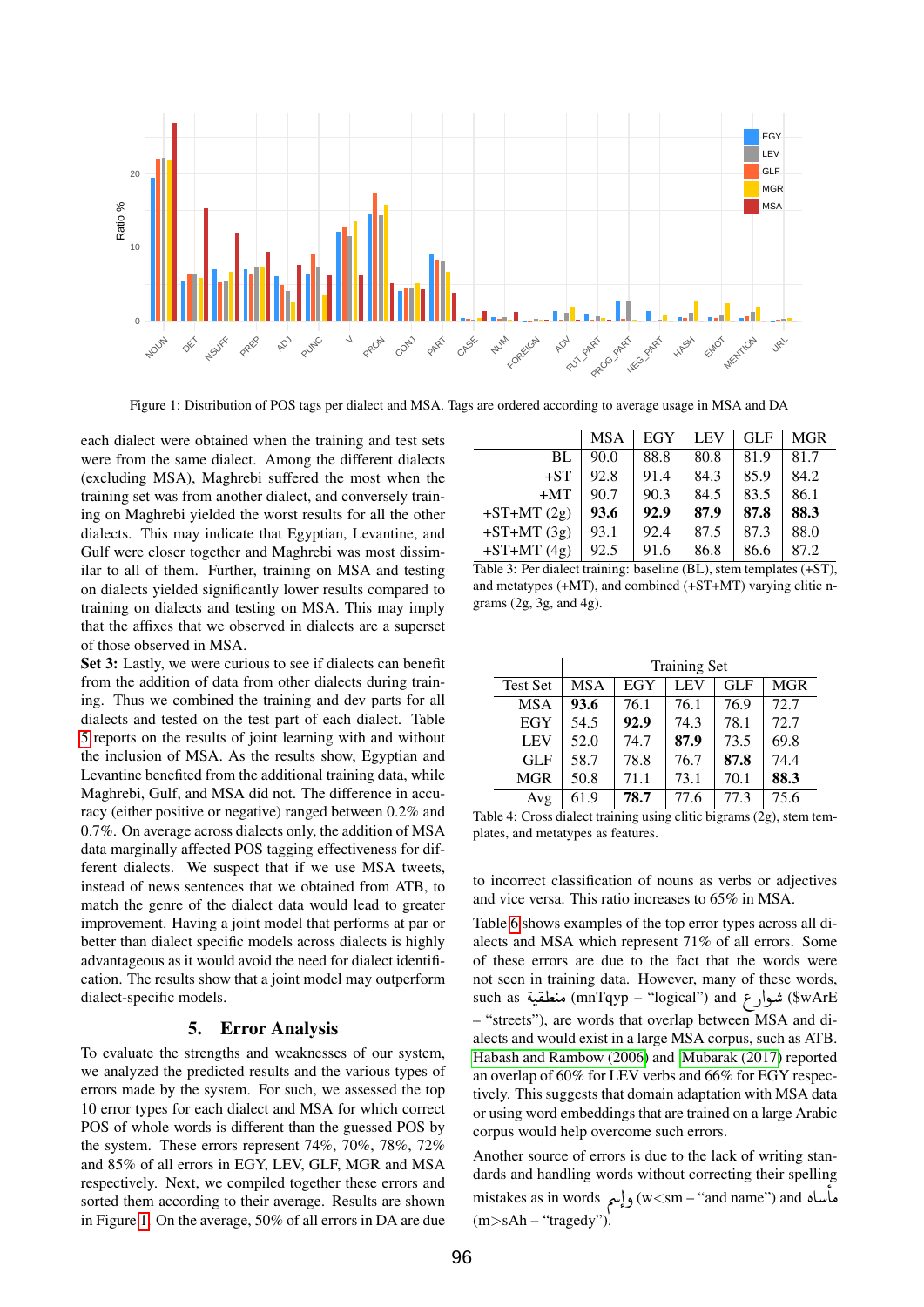<span id="page-3-0"></span>

Figure 1: Distribution of POS tags per dialect and MSA. Tags are ordered according to average usage in MSA and DA

each dialect were obtained when the training and test sets were from the same dialect. Among the different dialects (excluding MSA), Maghrebi suffered the most when the training set was from another dialect, and conversely training on Maghrebi yielded the worst results for all the other dialects. This may indicate that Egyptian, Levantine, and Gulf were closer together and Maghrebi was most dissimilar to all of them. Further, training on MSA and testing on dialects yielded significantly lower results compared to training on dialects and testing on MSA. This may imply that the affixes that we observed in dialects are a superset of those observed in MSA.

Set 3: Lastly, we were curious to see if dialects can benefit from the addition of data from other dialects during training. Thus we combined the training and dev parts for all dialects and tested on the test part of each dialect. Table [5](#page-4-6) reports on the results of joint learning with and without the inclusion of MSA. As the results show, Egyptian and Levantine benefited from the additional training data, while Maghrebi, Gulf, and MSA did not. The difference in accuracy (either positive or negative) ranged between 0.2% and 0.7%. On average across dialects only, the addition of MSA data marginally affected POS tagging effectiveness for different dialects. We suspect that if we use MSA tweets, instead of news sentences that we obtained from ATB, to match the genre of the dialect data would lead to greater improvement. Having a joint model that performs at par or better than dialect specific models across dialects is highly advantageous as it would avoid the need for dialect identification. The results show that a joint model may outperform dialect-specific models.

#### 5. Error Analysis

To evaluate the strengths and weaknesses of our system, we analyzed the predicted results and the various types of errors made by the system. For such, we assessed the top 10 error types for each dialect and MSA for which correct POS of whole words is different than the guessed POS by the system. These errors represent 74%, 70%, 78%, 72% and 85% of all errors in EGY, LEV, GLF, MGR and MSA respectively. Next, we compiled together these errors and sorted them according to their average. Results are shown in Figure [1.](#page-3-0) On the average, 50% of all errors in DA are due

<span id="page-3-1"></span>

|              | <b>MSA</b> | EGY  | <b>LEV</b> | <b>GLF</b> | <b>MGR</b> |
|--------------|------------|------|------------|------------|------------|
| BL.          | 90.0       | 88.8 | 80.8       | 81.9       | 81.7       |
| $+ST$        | 92.8       | 91.4 | 84.3       | 85.9       | 84.2       |
| $+MT$        | 90.7       | 90.3 | 84.5       | 83.5       | 86.1       |
| $+ST+MT(2g)$ | 93.6       | 92.9 | 87.9       | 87.8       | 88.3       |
| $+ST+MT(3g)$ | 93.1       | 92.4 | 87.5       | 87.3       | 88.0       |
| $+ST+MT(4g)$ | 92.5       | 91.6 | 86.8       | 86.6       | 87.2       |
|              |            |      |            |            |            |

Table 3: Per dialect training: baseline (BL), stem templates (+ST), and metatypes (+MT), and combined (+ST+MT) varying clitic ngrams (2g, 3g, and 4g).

<span id="page-3-2"></span>

|                 | <b>Training Set</b> |      |      |            |      |
|-----------------|---------------------|------|------|------------|------|
| <b>Test Set</b> | <b>MSA</b>          | EGY  | LEV  | <b>GLF</b> | MGR  |
| MSA             | 93.6                | 76.1 | 76.1 | 76.9       | 72.7 |
| EGY             | 54.5                | 92.9 | 74.3 | 78.1       | 72.7 |
| <b>LEV</b>      | 52.0                | 74.7 | 87.9 | 73.5       | 69.8 |
| GLF             | 58.7                | 78.8 | 76.7 | 87.8       | 74.4 |
| MGR             | 50.8                | 71.1 | 73.1 | 70.1       | 88.3 |
| Avg             | 61.9                | 78.7 | 77.6 | 77.3       | 75.6 |

Table 4: Cross dialect training using clitic bigrams (2g), stem templates, and metatypes as features.

to incorrect classification of nouns as verbs or adjectives and vice versa. This ratio increases to 65% in MSA.

Table [6](#page-5-10) shows examples of the top error types across all dialects and MSA which represent 71% of all errors. Some of these errors are due to the fact that the words were not seen in training data. However, many of these words, not seen in training data. However, many of these words,<br>such as شوارع (mnTqyp – "logical") and منطقية (\$wArE  $\ddot{\phantom{0}}$  $\frac{1}{2}$ – "streets"), are words that overlap between MSA and dialects and would exist in a large MSA corpus, such as ATB. [Habash and Rambow \(2006\)](#page-5-11) and [Mubarak \(2017\)](#page-5-12) reported an overlap of 60% for LEV verbs and 66% for EGY respectively. This suggests that domain adaptation with MSA data or using word embeddings that are trained on a large Arabic corpus would help overcome such errors.

Another source of errors is due to the lack of writing standards and handling words without correcting their spelling mistakes as in words حياسه ("exsm – "and name") and في المساه ļ  $(m > sAh - "tragedy")$ .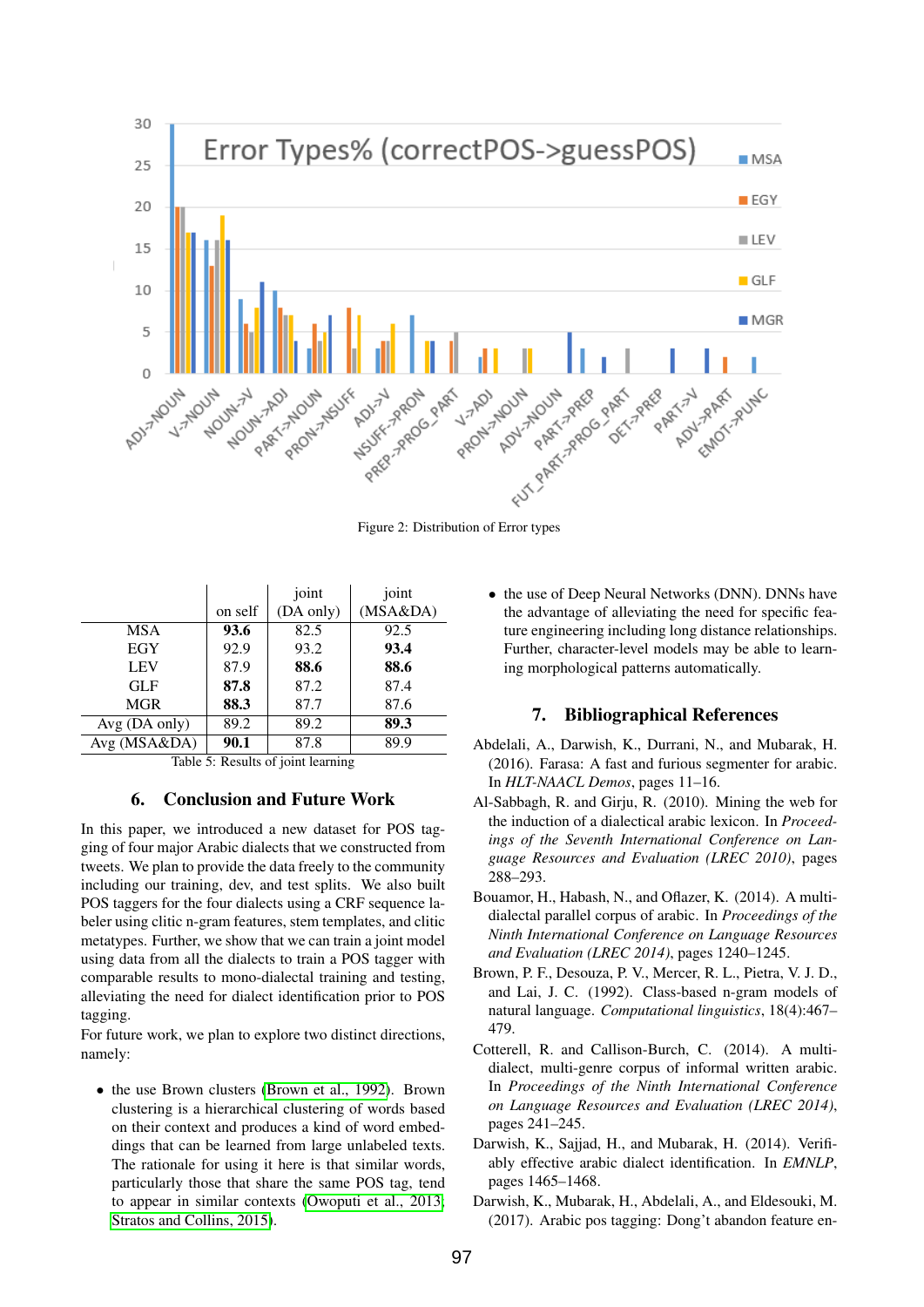

Figure 2: Distribution of Error types

<span id="page-4-6"></span>

|                                                   |         | joint     | joint    |  |
|---------------------------------------------------|---------|-----------|----------|--|
|                                                   | on self | (DA only) | (MSA&DA) |  |
| MSA                                               | 93.6    | 82.5      | 92.5     |  |
| EGY                                               | 92.9    | 93.2      | 93.4     |  |
| <b>LEV</b>                                        | 87.9    | 88.6      | 88.6     |  |
| <b>GLF</b>                                        | 87.8    | 87.2      | 87.4     |  |
| <b>MGR</b>                                        | 88.3    | 87.7      | 87.6     |  |
| Avg (DA only)                                     | 89.2    | 89.2      | 89.3     |  |
| Avg (MSA&DA)                                      | 90.1    | 87.8      | 89.9     |  |
| ٠<br>$\sim$ 1.1.<br>$\sim$ $\sim$<br>$\mathbf{1}$ |         |           |          |  |

Table 5: Results of joint learning

# 6. Conclusion and Future Work

In this paper, we introduced a new dataset for POS tagging of four major Arabic dialects that we constructed from tweets. We plan to provide the data freely to the community including our training, dev, and test splits. We also built POS taggers for the four dialects using a CRF sequence labeler using clitic n-gram features, stem templates, and clitic metatypes. Further, we show that we can train a joint model using data from all the dialects to train a POS tagger with comparable results to mono-dialectal training and testing, alleviating the need for dialect identification prior to POS tagging.

For future work, we plan to explore two distinct directions, namely:

• the use Brown clusters [\(Brown et al., 1992\)](#page-4-7). Brown clustering is a hierarchical clustering of words based on their context and produces a kind of word embeddings that can be learned from large unlabeled texts. The rationale for using it here is that similar words, particularly those that share the same POS tag, tend to appear in similar contexts [\(Owoputi et al., 2013;](#page-5-13) [Stratos and Collins, 2015\)](#page-5-14).

• the use of Deep Neural Networks (DNN). DNNs have the advantage of alleviating the need for specific feature engineering including long distance relationships. Further, character-level models may be able to learning morphological patterns automatically.

#### 7. Bibliographical References

- <span id="page-4-5"></span>Abdelali, A., Darwish, K., Durrani, N., and Mubarak, H. (2016). Farasa: A fast and furious segmenter for arabic. In *HLT-NAACL Demos*, pages 11–16.
- <span id="page-4-4"></span>Al-Sabbagh, R. and Girju, R. (2010). Mining the web for the induction of a dialectical arabic lexicon. In *Proceedings of the Seventh International Conference on Language Resources and Evaluation (LREC 2010)*, pages 288–293.
- <span id="page-4-2"></span>Bouamor, H., Habash, N., and Oflazer, K. (2014). A multidialectal parallel corpus of arabic. In *Proceedings of the Ninth International Conference on Language Resources and Evaluation (LREC 2014)*, pages 1240–1245.
- <span id="page-4-7"></span>Brown, P. F., Desouza, P. V., Mercer, R. L., Pietra, V. J. D., and Lai, J. C. (1992). Class-based n-gram models of natural language. *Computational linguistics*, 18(4):467– 479.
- <span id="page-4-3"></span>Cotterell, R. and Callison-Burch, C. (2014). A multidialect, multi-genre corpus of informal written arabic. In *Proceedings of the Ninth International Conference on Language Resources and Evaluation (LREC 2014)*, pages 241–245.
- <span id="page-4-0"></span>Darwish, K., Sajjad, H., and Mubarak, H. (2014). Verifiably effective arabic dialect identification. In *EMNLP*, pages 1465–1468.
- <span id="page-4-1"></span>Darwish, K., Mubarak, H., Abdelali, A., and Eldesouki, M. (2017). Arabic pos tagging: Dong't abandon feature en-